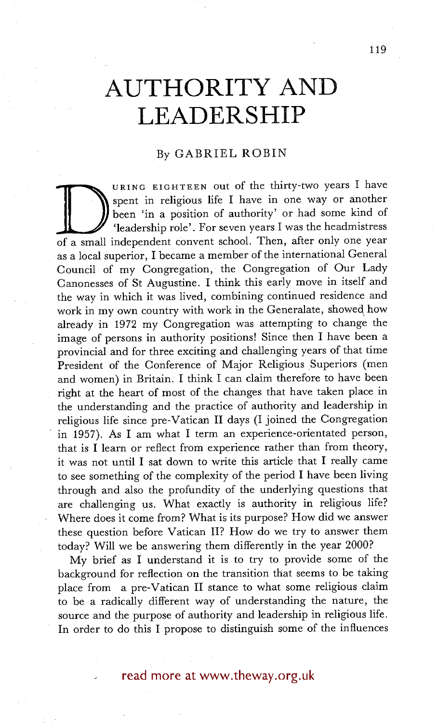# **AUTHORITY AND LEADERSHIP**

## By GABRIEL ROBIN

Spent in religious life I have in one way or another been 'in a position of authority' or had some kind of 'leadership role'. For seven years I was the headmistress of a small independent convent school. Then, after only o URING EIGHTEEN out of the thirty-two years I have spent in religious life I have in one way or another been 'in a position of authority' or had some kind of 'leadership role'. For seven years I was the headmistress as a local superior, I became a member of the international General Council of my Congregation, the Congregation of Our Lady Canonesses of St Augustine. I think this early move in itself and the way in which it was lived, combining continued residence and work in my own country with work in the Generalate, showed how already in 1972 my Congregation was attempting to change the image of persons in authority positions! Since then I have been a provincial and for three exciting and challenging years of that time President of the Conference of Major Religious Superiors (men and women) in Britain. I think I can claim therefore to have been right at the heart of most of the changes that have taken place in the understanding and the practice of authority and leadership in religious life since pre-Vatican II days (I joined the Congregation in 1957). As I am what I term an experience-orientated person, that is I learn or reflect from experience rather than from theory, it was not until I sat down to write this article that I really came to see something of the complexity of the period I have been living through and also the profundity of the underlying questions that are challenging us. What exactly is authority in religious life? Where does it come from? What is its purpose? How did we answer these question before Vatican II? How do we try to answer them today? Will we be answering them differently in the year 2000?

My brief as I understand it is to try to provide some of the background for reflection on the transition that seems to be taking place from a pre-Vatican II stance to what some religious claim to be a radically different way of understanding the nature, the source and the purpose of authority and leadership in religious life. In order to do this I propose to distinguish some of the influences

read more at www.theway.org.uk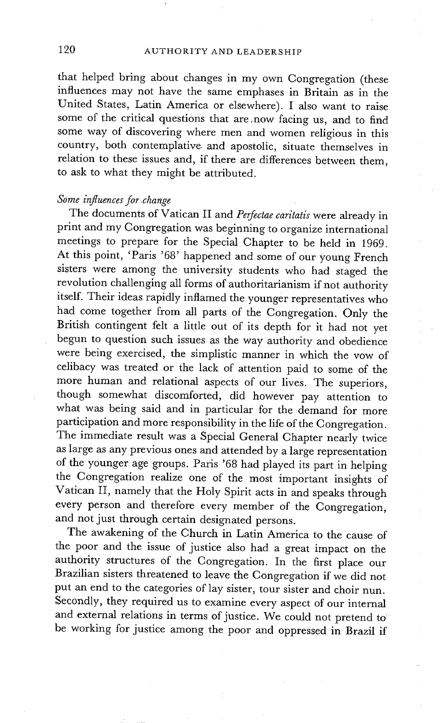that helped bring about changes in my own Congregation (these influences may not have the same emphases in Britain as in the United States, Latin America or elsewhere). I also want to raise some of the critical questions that are ,now facing us, and to find some way of discovering where men and women religious in this country, both contemplative, and apostolic, situate themselves in relation to these issues and, if there are differences between them, to ask to what they might be attributed.

## *Some influences for .change*

The documents of Vatican II and *Perfectae caritatis* were already in print and my Congregation was beginning to organize international meetings to prepare for the Special Chapter to be held in 1969. At this point, 'Paris '68' happened and some of our young French sisters were among the university students who had staged the revolution challenging all forms of authoritarianism if not authority itself. Their ideas rapidly inflamed the younger representatives who had come together from all parts of the Congregation. Only the British contingent felt a little out of its depth for it had not yet begun to question such issues as the way authority and obedience were being exercised, the simplistic manner in which the vow of celibacy was treated or the lack of attention paid to some of the more human and relational aspects of our lives. The superiors, though somewhat discomforted, did however pay attention to what was being said and in particular for the demand for more participation and more responsibility in the life of the Congregation. The immediate result was a Special General Chapter nearly twice as large as any previous ones and attended by a large representation of the younger age groups. Paris '68 had played its part in helping the Congregation realize one of the most important insights of Vatican II, namely that the Holy Spirit acts in and speaks through every person and therefore every member of the Congregation, and not just through certain designated persons.

The awakening of the Church in Latin America to the cause of the poor and the issue of justice also had a great impact on the authority structures of the Congregation. In the first place our Brazilian sisters threatened to leave the Congregation if we did not put an end to the categories of lay sister, tour sister and choir nun. Secondly, they required us to examine every aspect of our internal and external relations in terms of justice. We could not pretend to be working for justice among the poor and oppressed in Brazil if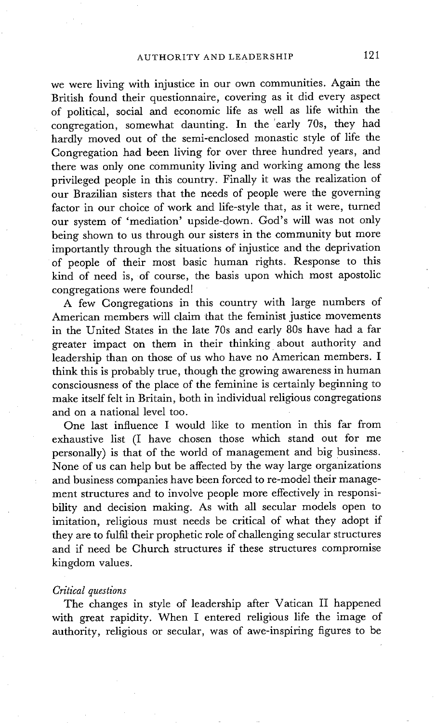we were living with injustice in our own communities. Again the British found their questionnaire, covering as it did every aspect of political, social and economic life as well as life within the congregation, somewhat daunting. In the 'early 70s, they had hardly moved out of the semi-enclosed monastic style of life the Congregation had been living for over three hundred years, and there was only one community living and working among the less privileged people in this country. Finally it was the realization of our Brazilian sisters that the needs of people were the governing factor in our choice of work and life-style that, as it were, turned our system of 'mediation' upside-down. God's will was not only being shown to us through our sisters in the community but more importantly through the situations of injustice and the deprivation of people of their most basic human rights. Response to this kind of need is, of course, the basis upon which most apostolic congregations were founded!

A few Congregations in this country with large numbers of American members will claim that the feminist justice movements in the United States in the late 70s and early 80s have had a far greater impact on them in their thinking about authority and leadership than on those of us who have no American members. I think this is probably true, though the growing awareness in human consciousness of the place of the feminine is certainly beginning to make itself felt in Britain, both in individual religious congregations and on a national level too.

One last influence I would like to mention in this far from exhaustive list (I have chosen those which stand out for me personally) is that of the world of management and big business. None of us can help but be affected by the way large organizations and business companies have been forced to re-model their management structures and to involve people more effectively in responsibility and decision making. As with all secular models open to imitation, religious must needs be critical of what they adopt if they are to fulfil their prophetic role of challenging secular structures and if need be Church structures if these structures compromise kingdom values.

#### *Critical questions*

The changes in style of leadership after Vatican II happened with great rapidity. When I entered religious life the image of authority, religious or secular, was of awe-inspiring figures to be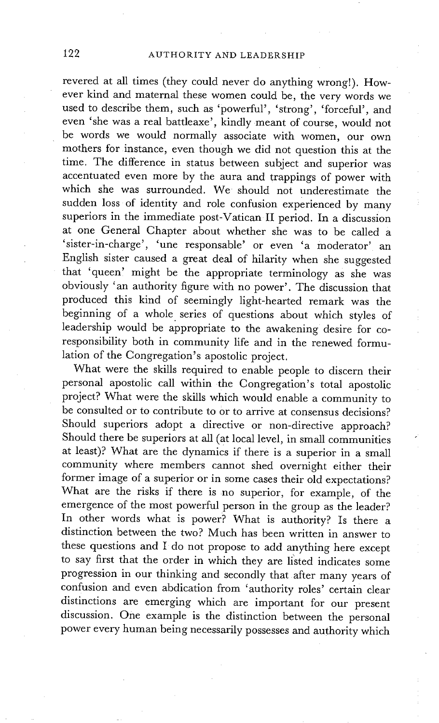revered at all times (they could never do anything wrong!). However kind and maternal these women could be, the very words we used to describe them, such as 'powerful', 'strong', 'forceful', and even 'she was a real battleaxe', kindly meant of course, would not be words we would normally associate with women, our own mothers for instance, even though we did not question this at the time. The difference in status between subject and superior was accentuated even more by the aura and trappings of power with which she was surrounded. We should not underestimate the sudden loss of identity and role confusion experienced by many superiors in the immediate post-Vatican II period. In a discussion at one General Chapter about whether she was to be called a 'sister-in-charge', 'une responsable' or even 'a moderator' an English sister caused a great deal of hilarity when she suggested that 'queen' might be the appropriate terminology as she was obviously 'an authority figure with no power'. The discussion that produced this kind of seemingly light-hearted remark was the beginning of a whole series of questions about which styles of leadership would be appropriate to the awakening desire for coresponsibility both in community life and in the renewed formulation of the Congregation's apostolic project.

What were the skills required to enable people to discern their personal apostolic call within the Congregation's total apostolic project? What were the skills which would enable a community to be consulted or to contribute to or to arrive at consensus decisions? Should superiors adopt a directive or non-directive approach? Should there be superiors at all (at local level, in small communities at least)? What are the dynamics if there is a superior in a small community where members cannot shed overnight either their former image of a superior or in some cases their old expectations? What are the risks if there is no superior, for example, of the emergence of the most powerful person in the group as the leader? In other words what is power? What is authority? Is there a distinction between the two? Much has been written in answer to these questions and I do not propose to add anything here except to say first that the order in which they are listed indicates some progression in our thinking and secondly that after many years of confusion and even abdication from 'authority roles' certain clear distinctions are emerging which are important for our present discussion. One example is the distinction between the personal power every human being necessarily possesses and authority which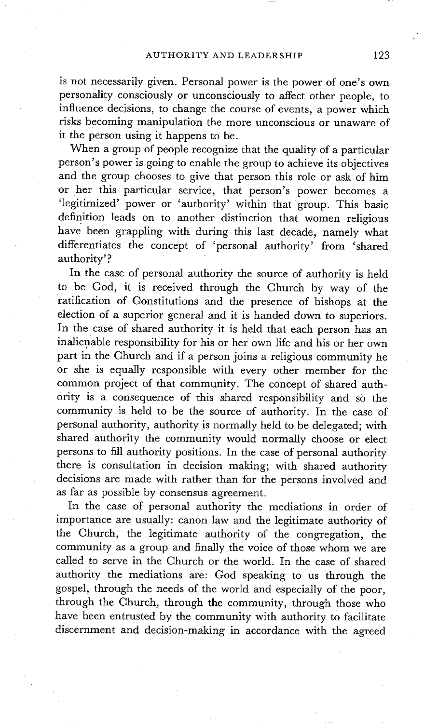is not necessarily given. Personal power is the power of one's own personality consciously or unconsciously to affect other people, to influence decisions, to change the course of events, a power which risks becoming manipulation the more unconscious or unaware of it the person using it happens to be.

When a group of people recognize that the quality of a particular person's power is going to enable the group to achieve its objectives and the group chooses to give that person this role or ask of him or her this particular service, that person's power becomes a 'legitimized' power or 'authority' within that group. This basic definition leads on to another distinction that women religious have been grappling with during this last decade, namely what differentiates the concept of 'personal authority' from 'shared authority'?

In the case of personal authority the source of authority is held to be God, it is received through the Church by way of the ratification of C'onstitutions and the presence of bishops at the election of a superior general and it is handed down to superiors. In the case of shared authority it is held that each person has an inalienable responsibility for his or her own life and his or her own part in the Church and if a person joins a religious community he or she is equally responsible with every other member for the common project of that community. The concept of shared auth-Ority is a consequence of this shared responsibility and so the community is held to be the source of authority. In the case of personal authority, authority is normally held to be delegated; with shared authority the community would normally choose or elect persons to fill authority positions. In the case of personal authority there is consultation in decision making; with shared authority decisions are made with rather than for the persons involved and as far as possible by consensus agreement.

In the case of personal authority the mediations in order of importance are usually: canon law and the legitimate authority of the Church, the legitimate authority of the congregation, the community as a group and finally the voice of those whom we are called to serve in the Church or the world. In the case of shared authority the mediations are: God speaking to us through the gospel, through the needs of the world and especially of the poor, through the Church, through the community, through those who have been entrusted by the community with authority to facilitate discernment and decision-making in accordance with the agreed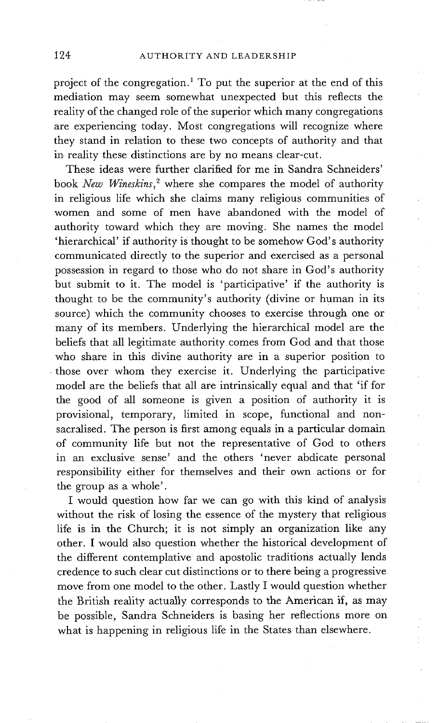project of the congregation.1 To put the superior at the end of this mediation may seem somewhat unexpected but this reflects the reality of the changed role of the superior which many congregations are experiencing today. Most congregations will recognize where they stand in relation to these two concepts of authority and that in reality these distinctions are by no means clear-cut.

These ideas were further clarified for me in Sandra Schneiders' book *New Wineskins, 2* where she compares the model of authority in religious life which she claims many religious communities of women and some of men have abandoned with the model of authority toward which they are moving. She names the model 'hierarchical' if authority is thought to be somehow God's authority communicated directly to the superior and exercised as a personal possession in regard to those who do not share in God's authority but submit to it. The model is 'participative' if the authority is thought to be the community's authority (divine or human in its source) which the community chooses to exercise through one or many of its members. Underlying the hierarchical model are the beliefs that all legitimate authority comes from God and that those who share in this divine authority are in a superior position to • those over whom they exercise it. Underlying the participative model are the beliefs that all are intrinsically equal and that 'if for the good of all someone is given a position of authority it is provisional, temporary, limited in scope, functional and nonsacralised. The person is first among equals in a particular domain of community life but not the representative of God to others in an exclusive sense' and the others 'never abdicate personal responsibility either for themselves and their own actions or for the group as a whole'.

I would question how far we can go with this kind of analysis without the risk of losing the essence of the mystery that religious life is in the Church; it is not simply an organization like any other. I would also question whether the historical development of the different contemplative and apostolic traditions actually lends credence to such clear cut distinctions or to there being a progressive move from one model to the other. Lastly I would question whether the British reality actually corresponds to the American if, as may be possible, Sandra Schneiders is basing her reflections more on what is happening in religious life in the States than elsewhere.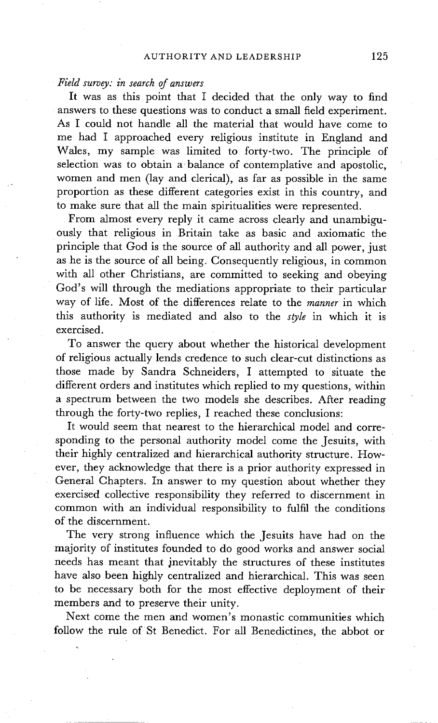#### *Field survey: in search of answers*

It was as this point that I decided that the only way to find answers to these questions was to conduct a small field experiment. As I could not handle all the material that would have come to me had I approached every religious institute in England and Wales, my sample was limited to forty-two. The principle of selection was to obtain a balance of contemplative and apostolic, women and men (lay and clerical), as far as possible in the same proportion as these different categories exist in this country, and to make sure that all the main spiritualities were represented.

From almost every reply it came across clearly and unambiguously that religious in Britain take as basic and axiomatic the principle that God is the source of all authority and all power, just as he is the source of all being. Consequently religious, in common with all other Christians, are committed to seeking and obeying God's will through the mediations appropriate to their particular way of life. Most of the differences relate to the *manner* in which this authority is mediated and also to the *style* in which it is exercised.

To answer the query about whether the historical development of religious actually lends credence to such clear-cut distinctions as those made by Sandra Schneiders, I attempted to situate the different orders and institutes which replied to my questions, within a spectrum between the two models she describes. After reading through the forty-two replies. I reached these conclusions:

It would seem that nearest to the hierarchical model and corresponding to the personal authority model come the Jesuits, with their highly centralized and hierarchical authority structure. However, they acknowledge that there is a prior authority expressed in General Chapters. In answer to my question about whether they exercised collective responsibility they referred to discernment in common with an individual responsibility to fulfil the conditions of the discernment.

The very strong influence which the Jesuits have had on the majority of institutes founded to do good works and answer social needs has meant that inevitably the structures of these institutes have also been highly centralized and hierarchical. This was seen to be necessary both for the most effective deployment of their members and to preserve their unity.

Next come the men and women's monastic communities which follow the rule of St Benedict. For all Benedictines, the abbot or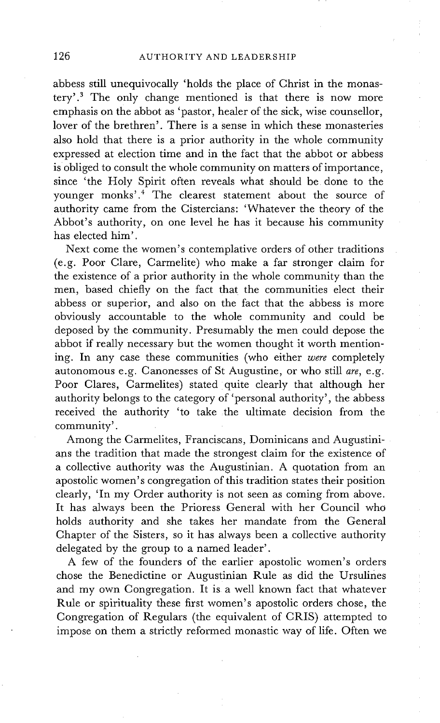abbess still unequivocally 'holds the place of Christ in the monastery'. 3 The only change mentioned is that there is now more emphasis on the abbot as 'pastor, healer of the sick, wise counsellor, lover of the brethren'. There is a sense in which these monasteries also hold that there is a prior authority in the whole community expressed at election time and in the fact that the abbot or abbess is obliged to consult the whole community on matters of importance, since 'the Holy Spirit often reveals what should be done to the younger monks'. 4 The clearest statement about the source of authority came from the Cistercians: 'Whatever the theory of the Abbot's authority, on one level he has it because his community has elected him'.

Next come the women's contemplative orders of other traditions (e.g. Poor Clare, Carmelite) who make a far stronger claim for the existence of a prior authority in the whole community than the men, based chiefly on the fact that the communities elect their abbess or superior, and also on the fact that the abbess is more obviously accountable to the whole community and could be deposed by the community. Presumably the men could depose the abbot if really necessary but the women thought it worth mentioning. In any case these communities (who either *were* completely autonomous e.g. Canonesses of St Augustine, or who still *are,* e.g. Poor Clares, Carmelites) stated quite clearly that although her authority belongs to the category of 'personal authority', the abbess received the authority 'to take the ultimate decision from the community'.

Among the Carmelites, Franciscans, Dominicans and Augustinians the tradition that made the strongest claim for the existence of a collective authority was the Augustinian. A quotation from an apostolic women's congregation of this tradition states their position clearly, 'In my Order authority is not seen as coming from above. It has always been the Prioress General with her Council who holds authority and she takes her mandate from the General Chapter of the Sisters, so it has always been a collective authority delegated by the group to a named leader'.

A few of the founders of the earlier apostolic women's orders chose the Benedictine or Augustinian Rule as did the Ursulines and my own Congregation. It is a well known fact that whatever Rule or spirituality these first women's apostolic orders chose, the Congregation of Regulars (the equivalent of CRIS) attempted to impose on them a strictly reformed monastic way of life. Often we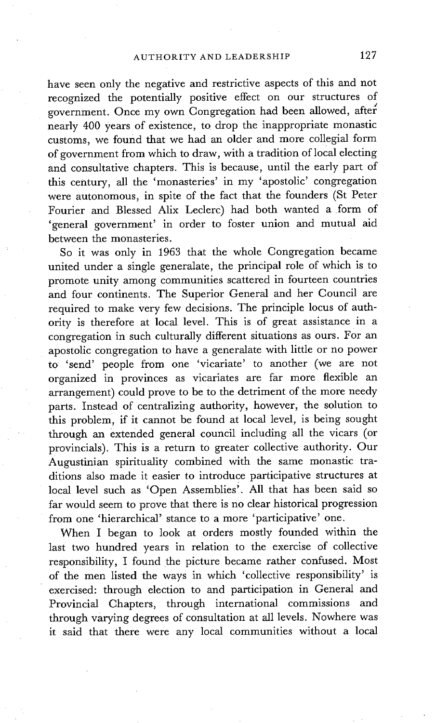have seen only the negative and restrictive aspects of this and not recognized the potentially positive effect on our structures of government. Once my own Congregation had been allowed, after nearly 400 years of existence, to drop the inappropriate monastic customs, we found that we had an older and more collegial form of government from which to draw, with a tradition of local electing and consultative chapters. This is because, until the early part of this century, all the 'monasteries' in my 'apostolic' congregation were autonomous, in spite of the fact that the founders (St Peter Fourier and Blessed Alix Leclerc) had both wanted a form of 'general government' in order to foster union and mutual aid between the monasteries.

So it was only in 1963 that the whole Congregation became united under a single generalate, the principal role of which is to promote unity among communities scattered in fourteen countries and four continents. The Superior General and her Council are required to make very few decisions. The principle locus of authority is therefore at local level. This is of great assistance in a congregation in such culturally different situations as ours. For an apostolic congregation to have a generalate with little or no power to 'send' people from one 'vicariate' to another (we are not organized in provinces as vicariates are far more flexible an arrangement) could prove to be to the detriment of the more needy parts. Instead of centralizing authority, however, the solution to this problem, if it cannot be found at local level, is being sought through an extended general council including all the vicars (or provincials). This is a return to greater collective authority. Our Augustinian spirituality combined with the same monastic traditions also made it easier to introduce participative structures at local level such as 'Open Assemblies'. All that has been said so far would seem to prove that there is no clear historical progression from one 'hierarchical' stance to a more 'participative' one.

When I began to look at orders mostly founded within the last two hundred years in relation to the exercise of collective responsibility, I found the picture became rather confused. Most of the men listed the ways in which 'collective responsibility' is exercised: through election to and participation in General and Provincial Chapters, through international commissions and through varying degrees of consultation at all levels. Nowhere was it said that there were any local communities without a local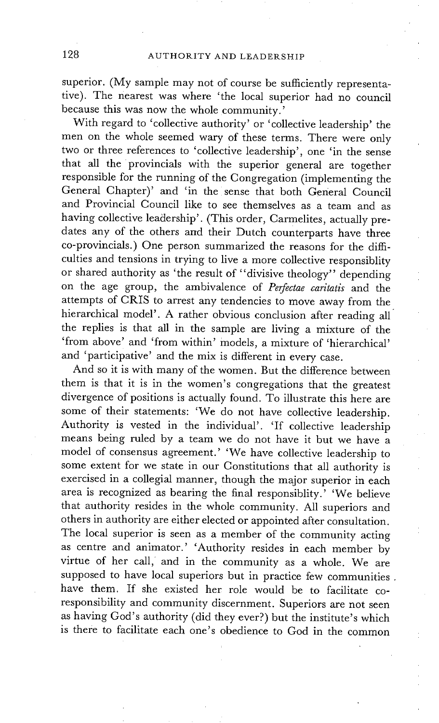superior. (My sample may not of course be sufficiently representative). The nearest was where 'the local superior had no council because this was now the whole community.'

With regard to 'collective authority' or 'collective leadership' the men on the whole seemed wary of these terms. There were only two or three references to 'collective leadership', one 'in the sense that all the provincials with the superior general are together responsible for the running of the Congregation (implementing the General Chapter)' and 'in the sense that both General Council and Provincial Council like to see themselves as a team and as having collective leadership'. (This order, Carmelites, actually predates any of the others and their Dutch counterparts have three co-provincials.) One person summarized the reasons for the difficulties and tensions in trying to live a more collective responsiblity or shared authority as 'the result of "divisive theology" depending on the age group, the ambivalence of *Perfectae caritatis* and the attempts of CRIS to arrest any tendencies to move away from the hierarchical model'. A rather obvious conclusion after reading all the replies is that all in the sample are living a mixture of the 'from above' and 'from within' models, a mixture of 'hierarchical' and 'participative' and the mix is different in every case.

And so it is with many of the women. But the difference between them is that it is in the women's congregations that the greatest divergence of positions is actually found. To illustrate this here are some of their statements: 'We do not have collective leadership. Authority is vested in the individual'. 'If collective leadership means being ruled by a team we do not have it but we have a model of consensus agreement.' 'We have collective leadership to some extent for we state in our Constitutions that all authority is exercised in a collegial manner, though the major superior in each area is recognized as bearing the final responsiblity.' 'We believe that authority resides in the whole community. All superiors and others in authority are either elected or appointed after consultation. The local superior is seen as a member of the community acting as centre and animator.' 'Authority resides in each member by virtue of her call, and in the community as a whole. We are supposed to have local superiors but in practice few communities. have them. If she existed her role would be to facilitate coresponsibility and community discernment. Superiors are not seen as having God's authority (did they ever?) but the institute's which is there to facilitate each one's obedience to God in the common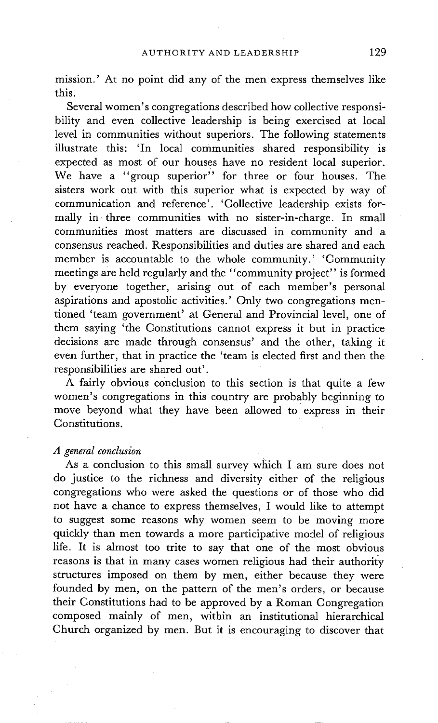mission.' At no point did any of the men express themselves like this.

Several women's congregations described how collective responsibility and even collective leadership is being exercised at local level in communities without superiors. The following statements illustrate this: 'In local communities shared responsibility is expected as most of our houses have no resident local superior. We have a "group superior" for three or four houses. The sisters work out with this superior what is expected by way of communication and reference'. 'Collective leadership exists formally in three communities with no sister-in-charge. In small communities most matters are discussed in community and a consensus reached. Responsibilities and duties are shared and each member is accountable to the whole community.' 'Community meetings are held regularly and the "community project" is formed by everyone together, arising out of each member's personal aspirations and apostolic activities.' Only two congregations mentioned 'team government' at General and Provincial level, one of them saying 'the Constitutions cannot express it but in practice decisions are made through consensus' and the other, taking it even further, that in practice the 'team is elected first and then the responsibilities are shared out'.

A fairly obvious conclusion to this section is that quite a few women's congregations in this country are probably beginning to move beyond what they have been allowed to express in their Constitutions.

### *A general conclusion*

As a conclusion to this small survey which I am sure does not do justice to the richness and diversity either of the religious congregations who were asked the questions or of those who did not have a chance to express themselves, I would like to attempt to suggest some reasons why women seem to be moving more quickly than men towards a more participative model of religious life. It is almost too trite to say that one of the most obvious reasons is that in many cases women religious had their authority structures imposed on them by men, either because they were founded by men, on the pattern of the men's orders, or because their Constitutions had to be approved by a Roman Congregation composed mainly of men, within an institutional hierarchical Church organized by men. But it is encouraging to discover that